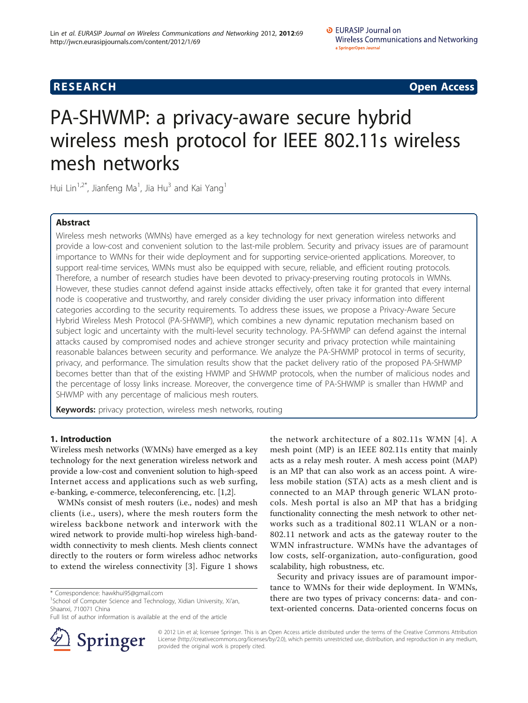## **RESEARCH CONTROL** RESEARCH COMMUNISMENT CONTROL CONTROL CONTROL CONTROL CONTROL CONTROL CONTROL CONTROL CONTROL CONTROL CONTROL CONTROL CONTROL CONTROL CONTROL CONTROL CONTROL CONTROL CONTROL CONTROL CONTROL CONTROL CONTR

# PA-SHWMP: a privacy-aware secure hybrid wireless mesh protocol for IEEE 802.11s wireless mesh networks

Hui Lin $^{1,2^{\ast}}$ , Jianfeng Ma $^{1}$ , Jia Hu $^{3}$  and Kai Yang $^{1}$ 

## Abstract

Wireless mesh networks (WMNs) have emerged as a key technology for next generation wireless networks and provide a low-cost and convenient solution to the last-mile problem. Security and privacy issues are of paramount importance to WMNs for their wide deployment and for supporting service-oriented applications. Moreover, to support real-time services, WMNs must also be equipped with secure, reliable, and efficient routing protocols. Therefore, a number of research studies have been devoted to privacy-preserving routing protocols in WMNs. However, these studies cannot defend against inside attacks effectively, often take it for granted that every internal node is cooperative and trustworthy, and rarely consider dividing the user privacy information into different categories according to the security requirements. To address these issues, we propose a Privacy-Aware Secure Hybrid Wireless Mesh Protocol (PA-SHWMP), which combines a new dynamic reputation mechanism based on subject logic and uncertainty with the multi-level security technology. PA-SHWMP can defend against the internal attacks caused by compromised nodes and achieve stronger security and privacy protection while maintaining reasonable balances between security and performance. We analyze the PA-SHWMP protocol in terms of security, privacy, and performance. The simulation results show that the packet delivery ratio of the proposed PA-SHWMP becomes better than that of the existing HWMP and SHWMP protocols, when the number of malicious nodes and the percentage of lossy links increase. Moreover, the convergence time of PA-SHWMP is smaller than HWMP and SHWMP with any percentage of malicious mesh routers.

Keywords: privacy protection, wireless mesh networks, routing

## 1. Introduction

Wireless mesh networks (WMNs) have emerged as a key technology for the next generation wireless network and provide a low-cost and convenient solution to high-speed Internet access and applications such as web surfing, e-banking, e-commerce, teleconferencing, etc. [[1,2\]](#page-14-0).

WMNs consist of mesh routers (i.e., nodes) and mesh clients (i.e., users), where the mesh routers form the wireless backbone network and interwork with the wired network to provide multi-hop wireless high-bandwidth connectivity to mesh clients. Mesh clients connect directly to the routers or form wireless adhoc networks to extend the wireless connectivity [\[3](#page-14-0)]. Figure [1](#page-1-0) shows

Full list of author information is available at the end of the article



the network architecture of a 802.11s WMN [[4\]](#page-15-0). A mesh point (MP) is an IEEE 802.11s entity that mainly acts as a relay mesh router. A mesh access point (MAP) is an MP that can also work as an access point. A wireless mobile station (STA) acts as a mesh client and is connected to an MAP through generic WLAN protocols. Mesh portal is also an MP that has a bridging functionality connecting the mesh network to other networks such as a traditional 802.11 WLAN or a non-802.11 network and acts as the gateway router to the WMN infrastructure. WMNs have the advantages of low costs, self-organization, auto-configuration, good scalability, high robustness, etc.

Security and privacy issues are of paramount importance to WMNs for their wide deployment. In WMNs, there are two types of privacy concerns: data- and context-oriented concerns. Data-oriented concerns focus on

© 2012 Lin et al; licensee Springer. This is an Open Access article distributed under the terms of the Creative Commons Attribution License [\(http://creativecommons.org/licenses/by/2.0](http://creativecommons.org/licenses/by/2.0)), which permits unrestricted use, distribution, and reproduction in any medium, provided the original work is properly cited.

<sup>\*</sup> Correspondence: [hawkhui95@gmail.com](mailto:hawkhui95@gmail.com)

<sup>&</sup>lt;sup>1</sup>School of Computer Science and Technology, Xidian University, Xi'an, Shaanxi, 710071 China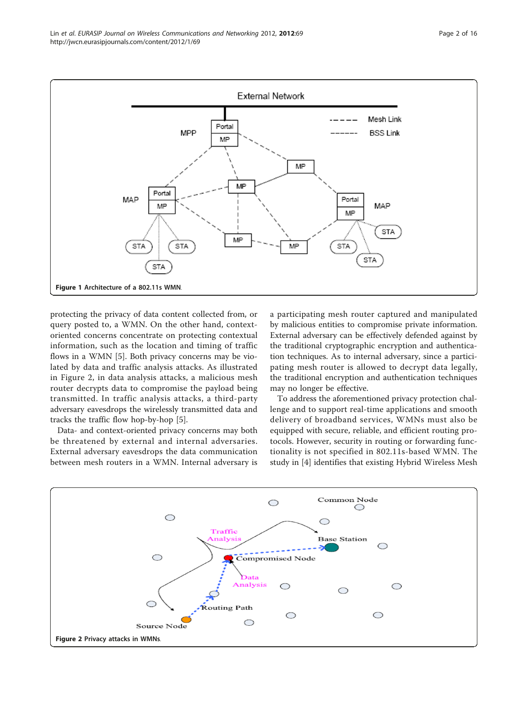<span id="page-1-0"></span>

protecting the privacy of data content collected from, or query posted to, a WMN. On the other hand, contextoriented concerns concentrate on protecting contextual information, such as the location and timing of traffic flows in a WMN [\[5\]](#page-15-0). Both privacy concerns may be violated by data and traffic analysis attacks. As illustrated in Figure 2, in data analysis attacks, a malicious mesh router decrypts data to compromise the payload being transmitted. In traffic analysis attacks, a third-party adversary eavesdrops the wirelessly transmitted data and tracks the traffic flow hop-by-hop [[5\]](#page-15-0).

Data- and context-oriented privacy concerns may both be threatened by external and internal adversaries. External adversary eavesdrops the data communication between mesh routers in a WMN. Internal adversary is a participating mesh router captured and manipulated by malicious entities to compromise private information. External adversary can be effectively defended against by the traditional cryptographic encryption and authentication techniques. As to internal adversary, since a participating mesh router is allowed to decrypt data legally, the traditional encryption and authentication techniques may no longer be effective.

To address the aforementioned privacy protection challenge and to support real-time applications and smooth delivery of broadband services, WMNs must also be equipped with secure, reliable, and efficient routing protocols. However, security in routing or forwarding functionality is not specified in 802.11s-based WMN. The study in [\[4](#page-15-0)] identifies that existing Hybrid Wireless Mesh

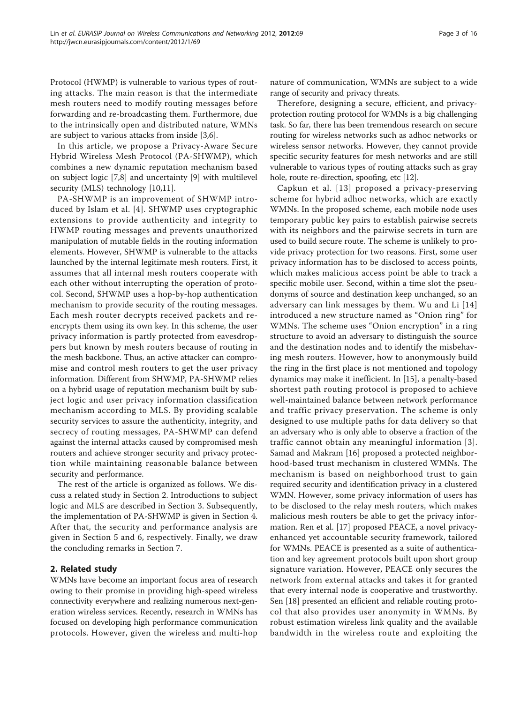Protocol (HWMP) is vulnerable to various types of routing attacks. The main reason is that the intermediate mesh routers need to modify routing messages before forwarding and re-broadcasting them. Furthermore, due to the intrinsically open and distributed nature, WMNs are subject to various attacks from inside [[3,](#page-14-0)[6\]](#page-15-0).

In this article, we propose a Privacy-Aware Secure Hybrid Wireless Mesh Protocol (PA-SHWMP), which combines a new dynamic reputation mechanism based on subject logic [\[7,8](#page-15-0)] and uncertainty [[9\]](#page-15-0) with multilevel security (MLS) technology [\[10,11\]](#page-15-0).

PA-SHWMP is an improvement of SHWMP introduced by Islam et al. [\[4\]](#page-15-0). SHWMP uses cryptographic extensions to provide authenticity and integrity to HWMP routing messages and prevents unauthorized manipulation of mutable fields in the routing information elements. However, SHWMP is vulnerable to the attacks launched by the internal legitimate mesh routers. First, it assumes that all internal mesh routers cooperate with each other without interrupting the operation of protocol. Second, SHWMP uses a hop-by-hop authentication mechanism to provide security of the routing messages. Each mesh router decrypts received packets and reencrypts them using its own key. In this scheme, the user privacy information is partly protected from eavesdroppers but known by mesh routers because of routing in the mesh backbone. Thus, an active attacker can compromise and control mesh routers to get the user privacy information. Different from SHWMP, PA-SHWMP relies on a hybrid usage of reputation mechanism built by subject logic and user privacy information classification mechanism according to MLS. By providing scalable security services to assure the authenticity, integrity, and secrecy of routing messages, PA-SHWMP can defend against the internal attacks caused by compromised mesh routers and achieve stronger security and privacy protection while maintaining reasonable balance between security and performance.

The rest of the article is organized as follows. We discuss a related study in Section 2. Introductions to subject logic and MLS are described in Section 3. Subsequently, the implementation of PA-SHWMP is given in Section 4. After that, the security and performance analysis are given in Section 5 and 6, respectively. Finally, we draw the concluding remarks in Section 7.

## 2. Related study

WMNs have become an important focus area of research owing to their promise in providing high-speed wireless connectivity everywhere and realizing numerous next-generation wireless services. Recently, research in WMNs has focused on developing high performance communication protocols. However, given the wireless and multi-hop nature of communication, WMNs are subject to a wide range of security and privacy threats.

Therefore, designing a secure, efficient, and privacyprotection routing protocol for WMNs is a big challenging task. So far, there has been tremendous research on secure routing for wireless networks such as adhoc networks or wireless sensor networks. However, they cannot provide specific security features for mesh networks and are still vulnerable to various types of routing attacks such as gray hole, route re-direction, spoofing, etc [[12](#page-15-0)].

Capkun et al. [[13](#page-15-0)] proposed a privacy-preserving scheme for hybrid adhoc networks, which are exactly WMNs. In the proposed scheme, each mobile node uses temporary public key pairs to establish pairwise secrets with its neighbors and the pairwise secrets in turn are used to build secure route. The scheme is unlikely to provide privacy protection for two reasons. First, some user privacy information has to be disclosed to access points, which makes malicious access point be able to track a specific mobile user. Second, within a time slot the pseudonyms of source and destination keep unchanged, so an adversary can link messages by them. Wu and Li [[14](#page-15-0)] introduced a new structure named as "Onion ring" for WMNs. The scheme uses "Onion encryption" in a ring structure to avoid an adversary to distinguish the source and the destination nodes and to identify the misbehaving mesh routers. However, how to anonymously build the ring in the first place is not mentioned and topology dynamics may make it inefficient. In [[15\]](#page-15-0), a penalty-based shortest path routing protocol is proposed to achieve well-maintained balance between network performance and traffic privacy preservation. The scheme is only designed to use multiple paths for data delivery so that an adversary who is only able to observe a fraction of the traffic cannot obtain any meaningful information [[3\]](#page-14-0). Samad and Makram [\[16](#page-15-0)] proposed a protected neighborhood-based trust mechanism in clustered WMNs. The mechanism is based on neighborhood trust to gain required security and identification privacy in a clustered WMN. However, some privacy information of users has to be disclosed to the relay mesh routers, which makes malicious mesh routers be able to get the privacy information. Ren et al. [[17](#page-15-0)] proposed PEACE, a novel privacyenhanced yet accountable security framework, tailored for WMNs. PEACE is presented as a suite of authentication and key agreement protocols built upon short group signature variation. However, PEACE only secures the network from external attacks and takes it for granted that every internal node is cooperative and trustworthy. Sen [\[18](#page-15-0)] presented an efficient and reliable routing protocol that also provides user anonymity in WMNs. By robust estimation wireless link quality and the available bandwidth in the wireless route and exploiting the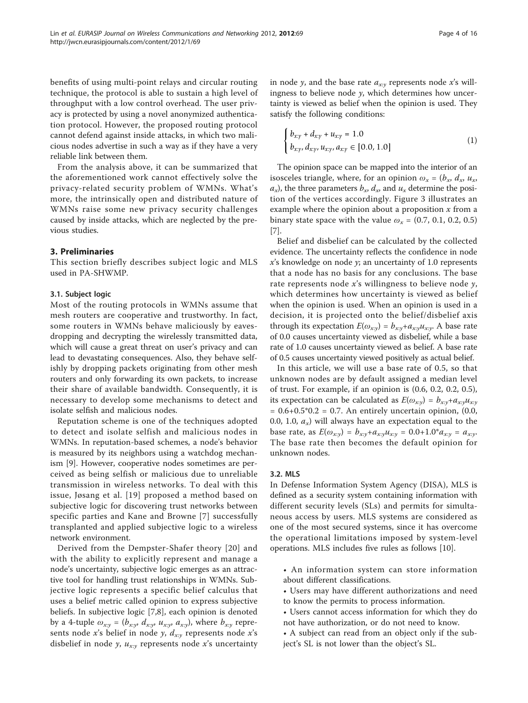benefits of using multi-point relays and circular routing technique, the protocol is able to sustain a high level of throughput with a low control overhead. The user privacy is protected by using a novel anonymized authentication protocol. However, the proposed routing protocol cannot defend against inside attacks, in which two malicious nodes advertise in such a way as if they have a very

reliable link between them. From the analysis above, it can be summarized that the aforementioned work cannot effectively solve the privacy-related security problem of WMNs. What's more, the intrinsically open and distributed nature of WMNs raise some new privacy security challenges caused by inside attacks, which are neglected by the previous studies.

### 3. Preliminaries

This section briefly describes subject logic and MLS used in PA-SHWMP.

#### 3.1. Subject logic

Most of the routing protocols in WMNs assume that mesh routers are cooperative and trustworthy. In fact, some routers in WMNs behave maliciously by eavesdropping and decrypting the wirelessly transmitted data, which will cause a great threat on user's privacy and can lead to devastating consequences. Also, they behave selfishly by dropping packets originating from other mesh routers and only forwarding its own packets, to increase their share of available bandwidth. Consequently, it is necessary to develop some mechanisms to detect and isolate selfish and malicious nodes.

Reputation scheme is one of the techniques adopted to detect and isolate selfish and malicious nodes in WMNs. In reputation-based schemes, a node's behavior is measured by its neighbors using a watchdog mechanism [[9\]](#page-15-0). However, cooperative nodes sometimes are perceived as being selfish or malicious due to unreliable transmission in wireless networks. To deal with this issue, Jøsang et al. [[19\]](#page-15-0) proposed a method based on subjective logic for discovering trust networks between specific parties and Kane and Browne [[7](#page-15-0)] successfully transplanted and applied subjective logic to a wireless network environment.

Derived from the Dempster-Shafer theory [[20\]](#page-15-0) and with the ability to explicitly represent and manage a node's uncertainty, subjective logic emerges as an attractive tool for handling trust relationships in WMNs. Subjective logic represents a specific belief calculus that uses a belief metric called opinion to express subjective beliefs. In subjective logic [[7,8](#page-15-0)], each opinion is denoted by a 4-tuple  $\omega_{xy} = (b_{xy}, d_{xy}, u_{xy}, a_{xy})$ , where  $b_{xy}$  represents node x's belief in node y,  $d_{x:y}$  represents node x's disbelief in node *y*,  $u_{x:y}$  represents node *x*'s uncertainty in node *y*, and the base rate  $a_{xx}$  represents node *x*'s willingness to believe node  $y$ , which determines how uncertainty is viewed as belief when the opinion is used. They satisfy the following conditions:

$$
\begin{cases}\n b_{x:y} + d_{x:y} + u_{x:y} = 1.0 \\
 b_{x:y}, d_{x:y}, u_{x:y}, d_{x:y} \in [0.0, 1.0]\n\end{cases}
$$
\n(1)

The opinion space can be mapped into the interior of an isosceles triangle, where, for an opinion  $\omega_x = (b_x, d_x, u_x,$  $a_x$ ), the three parameters  $b_x$ ,  $d_x$ , and  $u_x$  determine the position of the vertices accordingly. Figure [3](#page-4-0) illustrates an example where the opinion about a proposition  $x$  from a binary state space with the value  $\omega_x = (0.7, 0.1, 0.2, 0.5)$ [[7\]](#page-15-0).

Belief and disbelief can be calculated by the collected evidence. The uncertainty reflects the confidence in node  $x$ 's knowledge on node  $y$ ; an uncertainty of 1.0 represents that a node has no basis for any conclusions. The base rate represents node  $x$ 's willingness to believe node  $y$ , which determines how uncertainty is viewed as belief when the opinion is used. When an opinion is used in a decision, it is projected onto the belief/disbelief axis through its expectation  $E(\omega_{x:y}) = b_{x:y} + a_{x:y}u_{x:y}$ . A base rate of 0.0 causes uncertainty viewed as disbelief, while a base rate of 1.0 causes uncertainty viewed as belief. A base rate of 0.5 causes uncertainty viewed positively as actual belief.

In this article, we will use a base rate of 0.5, so that unknown nodes are by default assigned a median level of trust. For example, if an opinion is (0.6, 0.2, 0.2, 0.5), its expectation can be calculated as  $E(\omega_{x:y}) = b_{x:y} + a_{x:y}u_{x:y}$  $= 0.6 + 0.5 * 0.2 = 0.7$ . An entirely uncertain opinion, (0.0, 0.0, 1.0,  $a_x$ ) will always have an expectation equal to the base rate, as  $E(\omega_{x:y}) = b_{x:y} + a_{x:y}u_{x:y} = 0.0 + 1.0^* a_{x:y} = a_{x:y}$ . The base rate then becomes the default opinion for unknown nodes.

#### 3.2. MLS

In Defense Information System Agency (DISA), MLS is defined as a security system containing information with different security levels (SLs) and permits for simultaneous access by users. MLS systems are considered as one of the most secured systems, since it has overcome the operational limitations imposed by system-level operations. MLS includes five rules as follows [\[10\]](#page-15-0).

• An information system can store information about different classifications.

• Users may have different authorizations and need to know the permits to process information.

• Users cannot access information for which they do not have authorization, or do not need to know.

• A subject can read from an object only if the subject's SL is not lower than the object's SL.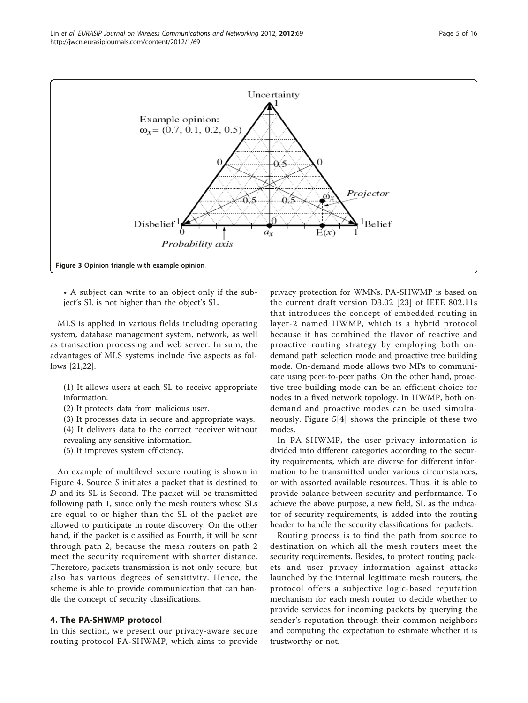<span id="page-4-0"></span>

• A subject can write to an object only if the subject's SL is not higher than the object's SL.

MLS is applied in various fields including operating system, database management system, network, as well as transaction processing and web server. In sum, the advantages of MLS systems include five aspects as follows [\[21,22\]](#page-15-0).

(1) It allows users at each SL to receive appropriate information.

- (2) It protects data from malicious user.
- (3) It processes data in secure and appropriate ways.
- (4) It delivers data to the correct receiver without
- revealing any sensitive information.
- (5) It improves system efficiency.

An example of multilevel secure routing is shown in Figure [4.](#page-5-0) Source S initiates a packet that is destined to D and its SL is Second. The packet will be transmitted following path 1, since only the mesh routers whose SLs are equal to or higher than the SL of the packet are allowed to participate in route discovery. On the other hand, if the packet is classified as Fourth, it will be sent through path 2, because the mesh routers on path 2 meet the security requirement with shorter distance. Therefore, packets transmission is not only secure, but also has various degrees of sensitivity. Hence, the scheme is able to provide communication that can handle the concept of security classifications.

#### 4. The PA-SHWMP protocol

In this section, we present our privacy-aware secure routing protocol PA-SHWMP, which aims to provide

privacy protection for WMNs. PA-SHWMP is based on the current draft version D3.02 [[23\]](#page-15-0) of IEEE 802.11s that introduces the concept of embedded routing in layer-2 named HWMP, which is a hybrid protocol because it has combined the flavor of reactive and proactive routing strategy by employing both ondemand path selection mode and proactive tree building mode. On-demand mode allows two MPs to communicate using peer-to-peer paths. On the other hand, proactive tree building mode can be an efficient choice for nodes in a fixed network topology. In HWMP, both ondemand and proactive modes can be used simultaneously. Figure [5\[](#page-5-0)[4\]](#page-15-0) shows the principle of these two modes.

In PA-SHWMP, the user privacy information is divided into different categories according to the security requirements, which are diverse for different information to be transmitted under various circumstances, or with assorted available resources. Thus, it is able to provide balance between security and performance. To achieve the above purpose, a new field, SL as the indicator of security requirements, is added into the routing header to handle the security classifications for packets.

Routing process is to find the path from source to destination on which all the mesh routers meet the security requirements. Besides, to protect routing packets and user privacy information against attacks launched by the internal legitimate mesh routers, the protocol offers a subjective logic-based reputation mechanism for each mesh router to decide whether to provide services for incoming packets by querying the sender's reputation through their common neighbors and computing the expectation to estimate whether it is trustworthy or not.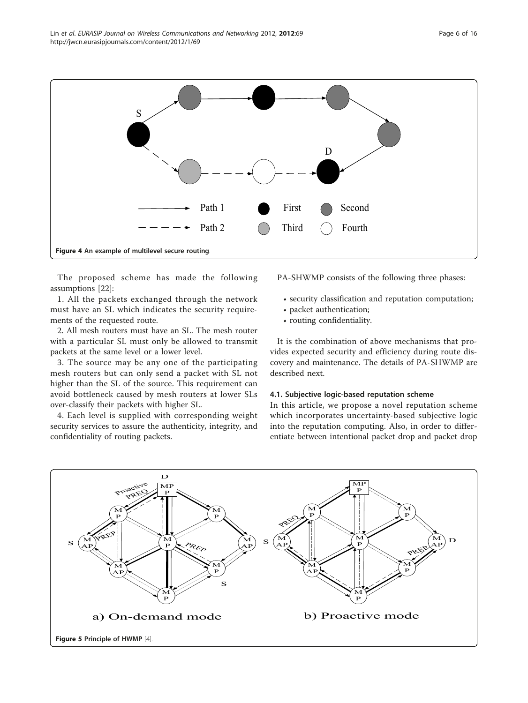<span id="page-5-0"></span>

The proposed scheme has made the following assumptions [[22](#page-15-0)]:

1. All the packets exchanged through the network must have an SL which indicates the security requirements of the requested route.

2. All mesh routers must have an SL. The mesh router with a particular SL must only be allowed to transmit packets at the same level or a lower level.

3. The source may be any one of the participating mesh routers but can only send a packet with SL not higher than the SL of the source. This requirement can avoid bottleneck caused by mesh routers at lower SLs over-classify their packets with higher SL.

4. Each level is supplied with corresponding weight security services to assure the authenticity, integrity, and confidentiality of routing packets.

PA-SHWMP consists of the following three phases:

- security classification and reputation computation;
- packet authentication;
- routing confidentiality.

It is the combination of above mechanisms that provides expected security and efficiency during route discovery and maintenance. The details of PA-SHWMP are described next.

## 4.1. Subjective logic-based reputation scheme

In this article, we propose a novel reputation scheme which incorporates uncertainty-based subjective logic into the reputation computing. Also, in order to differentiate between intentional packet drop and packet drop

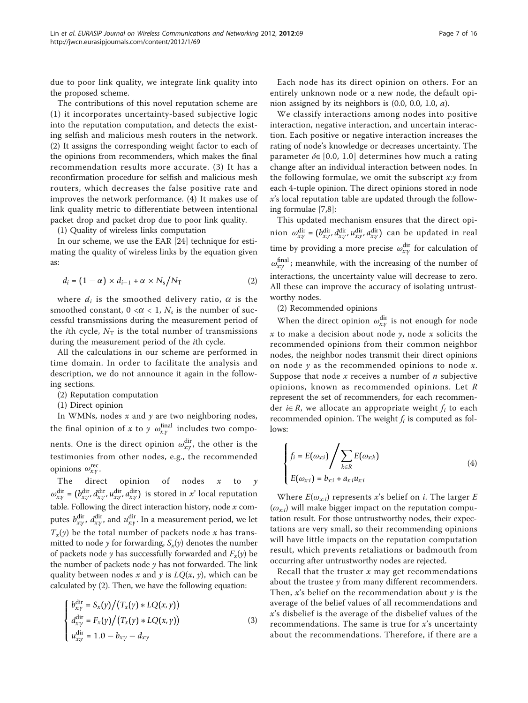due to poor link quality, we integrate link quality into the proposed scheme.

The contributions of this novel reputation scheme are (1) it incorporates uncertainty-based subjective logic into the reputation computation, and detects the existing selfish and malicious mesh routers in the network. (2) It assigns the corresponding weight factor to each of the opinions from recommenders, which makes the final recommendation results more accurate. (3) It has a reconfirmation procedure for selfish and malicious mesh routers, which decreases the false positive rate and improves the network performance. (4) It makes use of link quality metric to differentiate between intentional packet drop and packet drop due to poor link quality.

(1) Quality of wireless links computation

In our scheme, we use the EAR [[24](#page-15-0)] technique for estimating the quality of wireless links by the equation given as:

$$
d_i = (1 - \alpha) \times d_{i-1} + \alpha \times N_s / N_T \tag{2}
$$

where  $d_i$  is the smoothed delivery ratio,  $\alpha$  is the smoothed constant,  $0 < \alpha < 1$ ,  $N_s$  is the number of successful transmissions during the measurement period of the *i*th cycle,  $N_T$  is the total number of transmissions during the measurement period of the ith cycle.

All the calculations in our scheme are performed in time domain. In order to facilitate the analysis and description, we do not announce it again in the following sections.

- (2) Reputation computation
- (1) Direct opinion

In WMNs, nodes  $x$  and  $y$  are two neighboring nodes, the final opinion of  $x$  to  $y$   $\omega_{\textit{xy}}^{\textit{final}}$  includes two components. One is the direct opinion  $\omega_{\text{xy}}^{\text{dir}},$  the other is the testimonies from other nodes, e.g., the recommended opinions  $\omega_{x:y}^{\text{rec}}$ .

The direct opinion of nodes  $x$  to  $y$  $\omega_{x;y}^{\text{dir}} = (b_{x;y}^{\text{dir}}, d_{x;y}^{\text{dir}}, u_{x;y}^{\text{dir}}, a_{x;y}^{\text{dir}})$  is stored in x' local reputation table. Following the direct interaction history, node  $x$  computes  $b_{xy}^{\text{dir}}, d_{xy}^{\text{dir}},$  and  $u_{xy}^{\text{dir}}$ . In a measurement period, we let  $T<sub>x</sub>(y)$  be the total number of packets node x has transmitted to node y for forwarding,  $S_x(y)$  denotes the number of packets node *y* has successfully forwarded and  $F_x(y)$  be the number of packets node  $y$  has not forwarded. The link quality between nodes x and y is  $LQ(x, y)$ , which can be calculated by (2). Then, we have the following equation:

$$
\begin{cases}\n b_{xy}^{\text{dir}} = S_x(\gamma) / (T_x(\gamma) * LQ(x, \gamma)) \\
 d_{xy}^{\text{dir}} = F_x(\gamma) / (T_x(\gamma) * LQ(x, \gamma)) \\
 u_{xy}^{\text{dir}} = 1.0 - b_{xy} - d_{xy}\n\end{cases}
$$
\n(3)

Each node has its direct opinion on others. For an entirely unknown node or a new node, the default opinion assigned by its neighbors is (0.0, 0.0, 1.0, a).

We classify interactions among nodes into positive interaction, negative interaction, and uncertain interaction. Each positive or negative interaction increases the rating of node's knowledge or decreases uncertainty. The parameter  $\delta \in [0.0, 1.0]$  determines how much a rating change after an individual interaction between nodes. In the following formulae, we omit the subscript  $x: y$  from each 4-tuple opinion. The direct opinions stored in node x's local reputation table are updated through the following formulae [\[7,8](#page-15-0)]:

This updated mechanism ensures that the direct opinion  $\omega_{xy}^{\text{dir}} = (b_{xy}^{\text{dir}}, d_{xy}^{\text{dir}}, u_{xy}^{\text{dir}}, d_{xy}^{\text{dir}})$  can be updated in real time by providing a more precise  $\omega_{xy}^{\text{dir}}$  for calculation of  $\omega_{\text{xy}}^{\text{final}}$ ; meanwhile, with the increasing of the number of interactions, the uncertainty value will decrease to zero. All these can improve the accuracy of isolating untrustworthy nodes.

(2) Recommended opinions

When the direct opinion  $\omega_{\text{xy}}^{\text{dir}}$  is not enough for node x to make a decision about node  $y$ , node x solicits the recommended opinions from their common neighbor nodes, the neighbor nodes transmit their direct opinions on node  $y$  as the recommended opinions to node  $x$ . Suppose that node x receives a number of  $n$  subjective opinions, known as recommended opinions. Let R represent the set of recommenders, for each recommender  $i \in R$ , we allocate an appropriate weight  $f_i$  to each recommended opinion. The weight  $f_i$  is computed as follows:

$$
\begin{cases}\nf_i = E(\omega_{x:i}) / \sum_{k \in R} E(\omega_{x:k}) \\
E(\omega_{x:i}) = b_{x:i} + a_{x:i}u_{x:i}\n\end{cases} (4)
$$

Where  $E(\omega_{x:i})$  represents x's belief on *i*. The larger E  $(\omega_{x:i})$  will make bigger impact on the reputation computation result. For those untrustworthy nodes, their expectations are very small, so their recommending opinions will have little impacts on the reputation computation result, which prevents retaliations or badmouth from occurring after untrustworthy nodes are rejected.

Recall that the truster  $x$  may get recommendations about the trustee  $y$  from many different recommenders. Then,  $x$ 's belief on the recommendation about  $y$  is the average of the belief values of all recommendations and x's disbelief is the average of the disbelief values of the recommendations. The same is true for  $x$ 's uncertainty about the recommendations. Therefore, if there are a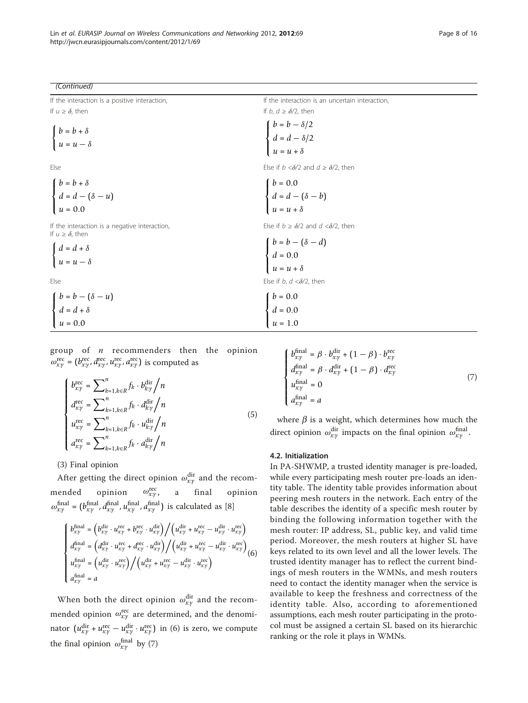Page 8 of 16

<span id="page-7-0"></span>(Continued)

| If the interaction is a positive interaction,                                 | If the interaction is an uncertain interaction                                                            |
|-------------------------------------------------------------------------------|-----------------------------------------------------------------------------------------------------------|
| If $u \geq \delta$ , then                                                     | If b, $d \ge \delta/2$ , then                                                                             |
|                                                                               |                                                                                                           |
| $\begin{cases} b = b + \delta \\ u = u - \delta \end{cases}$                  | $\left\{ \begin{aligned} b &= b - \delta/2 \\ d &= d - \delta/2 \\ u &= u + \delta \end{aligned} \right.$ |
|                                                                               |                                                                                                           |
|                                                                               |                                                                                                           |
| Else                                                                          | Else if $b < \delta/2$ and $d \ge \delta/2$ , then                                                        |
|                                                                               |                                                                                                           |
| $\begin{cases} b = b + \delta \\ d = d - (\delta - u) \\ u = 0.0 \end{cases}$ | $d = d - (\delta - b)$<br>$u = u + \delta$                                                                |
|                                                                               |                                                                                                           |
| If the interaction is a negative interaction,                                 | Else if $b \ge \delta/2$ and $d < \delta/2$ , then                                                        |
| If $u \geq \delta$ , then                                                     |                                                                                                           |
| $\begin{cases} d = d + \delta \\ u = u - \delta \end{cases}$                  | $\begin{cases} b = b - (\delta - d) \\ d = 0.0 \\ u = u + \delta \end{cases}$                             |
|                                                                               |                                                                                                           |
|                                                                               |                                                                                                           |
| Else                                                                          | Else if b, $d < \delta/2$ , then                                                                          |
|                                                                               |                                                                                                           |
| $\begin{cases} b = b - (\delta - u) \\ d = d + \delta \\ u = 0.0 \end{cases}$ | $d = 0.0$<br>$d = 0.0$<br>$u = 1.0$                                                                       |
|                                                                               |                                                                                                           |
|                                                                               |                                                                                                           |

group of  $n$  recommenders then the opinion  $\omega_{xy}^{\text{rec}} = (b_{xy}^{\text{rec}}, d_{xy}^{\text{rec}}, u_{xy}^{\text{rec}}, d_{xy}^{\text{rec}})$  is computed as

$$
\begin{cases}\nb_{xy}^{\text{rec}} = \sum_{k=1, k \in R}^{n} f_k \cdot b_{kxy}^{\text{dir}} / n \\
d_{xy}^{\text{rec}} = \sum_{k=1, k \in R}^{n} f_k \cdot d_{ky}^{\text{dir}} / n \\
u_{xy}^{\text{rec}} = \sum_{k=1, k \in R}^{n} f_k \cdot u_{kxy}^{\text{dir}} / n \\
a_{xy}^{\text{rec}} = \sum_{k=1, k \in R}^{n} f_k \cdot a_{ky}^{\text{dir}} / n\n\end{cases} \tag{5}
$$

(3) Final opinion

After getting the direct opinion  $\omega_{xy}^{\text{dir}}$  and the recommended opinion  $\omega_{\mathit{xxy}}^{\rm rec}$ , *<sup>x</sup>*:*<sup>y</sup>* , a final opinion  $\omega_{xy}^{\text{final}} = (b_{xy}^{\text{final}}, d_{xy}^{\text{final}}, u_{xy}^{\text{final}}, d_{xy}^{\text{final}})$  is calculated as [[8\]](#page-15-0)

$$
\begin{cases}\nb_{xy}^{\text{final}} = \left(b_{xy}^{\text{dir}} \cdot u_{xy}^{\text{rec}} + b_{xy}^{\text{rec}} \cdot u_{xy}^{\text{dir}}\right) / \left(u_{xy}^{\text{dir}} + u_{xy}^{\text{rec}} - u_{xy}^{\text{dir}} \cdot u_{xy}^{\text{rec}}\right) \\
d_{xy}^{\text{final}} = \left(d_{xy}^{\text{dir}} \cdot u_{xy}^{\text{rec}} + d_{xy}^{\text{rec}} \cdot u_{xy}^{\text{dir}}\right) / \left(u_{xy}^{\text{dir}} + u_{xy}^{\text{rec}} - u_{xy}^{\text{dir}} \cdot u_{xy}^{\text{rec}}\right) \\
u_{xy}^{\text{final}} = \left(u_{xy}^{\text{dir}} \cdot u_{xy}^{\text{rec}}\right) / \left(u_{xy}^{\text{dir}} + u_{xy}^{\text{rec}} - u_{xy}^{\text{dir}} \cdot u_{xy}^{\text{rec}}\right) \\
d_{xy}^{\text{final}} = a\n\end{cases}
$$
\n(6)

When both the direct opinion  $\omega_{\text{xy}}^{\text{dir}}$  and the recommended opinion  $\omega^\mathrm{rec}_{\mathrm{xy}}$  are determined, and the denominator  $(u_{x:y}^{\text{dir}} + u_{x:y}^{\text{rec}} - u_{x:y}^{\text{dir}} \cdot u_{x:y}^{\text{rec}})$  in (6) is zero, we compute the final opinion  $\omega_{x:y}^{\text{final}}$  by (7)

$$
\begin{cases}\nb_{xy}^{\text{final}} = \beta \cdot b_{xy}^{\text{dir}} + (1 - \beta) \cdot b_{xy}^{\text{rec}} \\
d_{xy}^{\text{final}} = \beta \cdot d_{xy}^{\text{dir}} + (1 - \beta) \cdot d_{xy}^{\text{rec}} \\
u_{xy}^{\text{final}} = 0 \\
a_{xy}^{\text{final}} = a\n\end{cases} \tag{7}
$$

where  $\beta$  is a weight, which determines how much the direct opinion  $\omega_{xy}^{\text{dir}}$  impacts on the final opinion  $\omega_{xy}^{\text{final}}$ .

#### 4.2. Initialization

In PA-SHWMP, a trusted identity manager is pre-loaded, while every participating mesh router pre-loads an identity table. The identity table provides information about peering mesh routers in the network. Each entry of the table describes the identity of a specific mesh router by binding the following information together with the mesh router: IP address, SL, public key, and valid time period. Moreover, the mesh routers at higher SL have keys related to its own level and all the lower levels. The trusted identity manager has to reflect the current bindings of mesh routers in the WMNs, and mesh routers need to contact the identity manager when the service is available to keep the freshness and correctness of the identity table. Also, according to aforementioned assumptions, each mesh router participating in the protocol must be assigned a certain SL based on its hierarchic ranking or the role it plays in WMNs.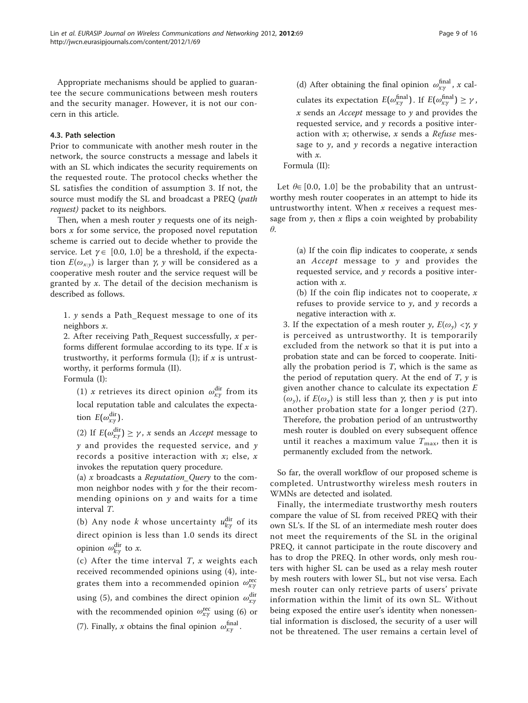Appropriate mechanisms should be applied to guarantee the secure communications between mesh routers and the security manager. However, it is not our concern in this article.

#### 4.3. Path selection

Prior to communicate with another mesh router in the network, the source constructs a message and labels it with an SL which indicates the security requirements on the requested route. The protocol checks whether the SL satisfies the condition of assumption 3. If not, the source must modify the SL and broadcast a PREQ (path request) packet to its neighbors.

Then, when a mesh router  $\gamma$  requests one of its neighbors  $x$  for some service, the proposed novel reputation scheme is carried out to decide whether to provide the service. Let  $\gamma \in [0.0, 1.0]$  be a threshold, if the expectation  $E(\omega_{x,y})$  is larger than  $\gamma$ , y will be considered as a cooperative mesh router and the service request will be granted by  $x$ . The detail of the decision mechanism is described as follows.

1. y sends a Path\_Request message to one of its neighbors x.

2. After receiving Path\_Request successfully, x performs different formulae according to its type. If  $x$  is trustworthy, it performs formula (I); if  $x$  is untrustworthy, it performs formula (II).

Formula (I):

(1) *x* retrieves its direct opinion  $\omega_{xy}^{\text{dir}}$  from its local reputation table and calculates the expectation  $E(\omega_{x:y}^{\text{dir}})$ .

(2) If  $E(\omega_{xy}^{\text{dir}}) \ge \gamma$ , *x* sends an *Accept* message to  $y$  and provides the requested service, and  $y$ records a positive interaction with  $x$ ; else,  $x$ invokes the reputation query procedure.

(a)  $x$  broadcasts a *Reputation\_Query* to the common neighbor nodes with  $y$  for the their recommending opinions on  $y$  and waits for a time interval T.

(b) Any node *k* whose uncertainty  $u_{k; y}^{\text{dir}}$  of its direct opinion is less than 1.0 sends its direct opinion  $\omega_{k:\gamma}^{\text{dir}}$  to *x*.

(c) After the time interval  $T$ ,  $x$  weights each received recommended opinions using (4), integrates them into a recommended opinion  $\omega^\mathrm{rec}_{\mathrm{x};y}$ using (5), and combines the direct opinion  $\omega_{\text{x};y}^{\text{dir}}$ with the recommended opinion  $\omega_{xy}^{\text{rec}}$  using (6) or (7). Finally, *x* obtains the final opinion  $\omega_{\mathbf{x}:\mathbf{y}}^{\text{final}}$ .

(d) After obtaining the final opinion  $\omega_{xy}^{\text{final}}$ , *x* calculates its expectation  $E(\omega_{x:y}^{\text{final}})$ . If  $E(\omega_{x:y}^{\text{final}}) \ge \gamma$ ,  $x$  sends an *Accept* message to  $y$  and provides the requested service, and  $y$  records a positive interaction with  $x$ ; otherwise,  $x$  sends a Refuse message to  $y$ , and  $y$  records a negative interaction with x.

Formula (II):

Let  $\theta \in [0.0, 1.0]$  be the probability that an untrustworthy mesh router cooperates in an attempt to hide its untrustworthy intent. When  $x$  receives a request message from  $y$ , then  $x$  flips a coin weighted by probability θ.

> (a) If the coin flip indicates to cooperate,  $x$  sends an  $Accept$  message to  $y$  and provides the requested service, and  $\gamma$  records a positive interaction with x.

> (b) If the coin flip indicates not to cooperate,  $x$ refuses to provide service to  $y$ , and  $y$  records a negative interaction with x.

3. If the expectation of a mesh router  $\gamma$ ,  $E(\omega_{\nu}) < \gamma$ ,  $\gamma$ is perceived as untrustworthy. It is temporarily excluded from the network so that it is put into a probation state and can be forced to cooperate. Initially the probation period is  $T$ , which is the same as the period of reputation query. At the end of  $T$ ,  $y$  is given another chance to calculate its expectation E  $(\omega_y)$ , if  $E(\omega_y)$  is still less than  $\gamma$ , then y is put into another probation state for a longer period (2T). Therefore, the probation period of an untrustworthy mesh router is doubled on every subsequent offence until it reaches a maximum value  $T_{\text{max}}$ , then it is permanently excluded from the network.

So far, the overall workflow of our proposed scheme is completed. Untrustworthy wireless mesh routers in WMNs are detected and isolated.

Finally, the intermediate trustworthy mesh routers compare the value of SL from received PREQ with their own SL's. If the SL of an intermediate mesh router does not meet the requirements of the SL in the original PREQ, it cannot participate in the route discovery and has to drop the PREQ. In other words, only mesh routers with higher SL can be used as a relay mesh router by mesh routers with lower SL, but not vise versa. Each mesh router can only retrieve parts of users' private information within the limit of its own SL. Without being exposed the entire user's identity when nonessential information is disclosed, the security of a user will not be threatened. The user remains a certain level of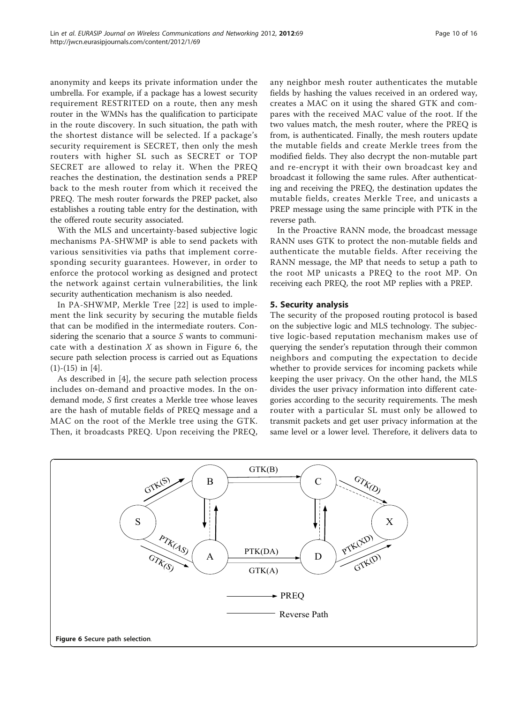anonymity and keeps its private information under the umbrella. For example, if a package has a lowest security requirement RESTRITED on a route, then any mesh router in the WMNs has the qualification to participate in the route discovery. In such situation, the path with the shortest distance will be selected. If a package's security requirement is SECRET, then only the mesh routers with higher SL such as SECRET or TOP SECRET are allowed to relay it. When the PREQ reaches the destination, the destination sends a PREP back to the mesh router from which it received the PREQ. The mesh router forwards the PREP packet, also establishes a routing table entry for the destination, with the offered route security associated.

With the MLS and uncertainty-based subjective logic mechanisms PA-SHWMP is able to send packets with various sensitivities via paths that implement corresponding security guarantees. However, in order to enforce the protocol working as designed and protect the network against certain vulnerabilities, the link security authentication mechanism is also needed.

In PA-SHWMP, Merkle Tree [[22\]](#page-15-0) is used to implement the link security by securing the mutable fields that can be modified in the intermediate routers. Considering the scenario that a source S wants to communicate with a destination  $X$  as shown in Figure 6, the secure path selection process is carried out as Equations  $(1)-(15)$  in [\[4\]](#page-15-0).

As described in [[4](#page-15-0)], the secure path selection process includes on-demand and proactive modes. In the ondemand mode, S first creates a Merkle tree whose leaves are the hash of mutable fields of PREQ message and a MAC on the root of the Merkle tree using the GTK. Then, it broadcasts PREQ. Upon receiving the PREQ, any neighbor mesh router authenticates the mutable fields by hashing the values received in an ordered way, creates a MAC on it using the shared GTK and compares with the received MAC value of the root. If the two values match, the mesh router, where the PREQ is from, is authenticated. Finally, the mesh routers update the mutable fields and create Merkle trees from the modified fields. They also decrypt the non-mutable part and re-encrypt it with their own broadcast key and broadcast it following the same rules. After authenticating and receiving the PREQ, the destination updates the mutable fields, creates Merkle Tree, and unicasts a PREP message using the same principle with PTK in the reverse path.

In the Proactive RANN mode, the broadcast message RANN uses GTK to protect the non-mutable fields and authenticate the mutable fields. After receiving the RANN message, the MP that needs to setup a path to the root MP unicasts a PREQ to the root MP. On receiving each PREQ, the root MP replies with a PREP.

## 5. Security analysis

The security of the proposed routing protocol is based on the subjective logic and MLS technology. The subjective logic-based reputation mechanism makes use of querying the sender's reputation through their common neighbors and computing the expectation to decide whether to provide services for incoming packets while keeping the user privacy. On the other hand, the MLS divides the user privacy information into different categories according to the security requirements. The mesh router with a particular SL must only be allowed to transmit packets and get user privacy information at the same level or a lower level. Therefore, it delivers data to

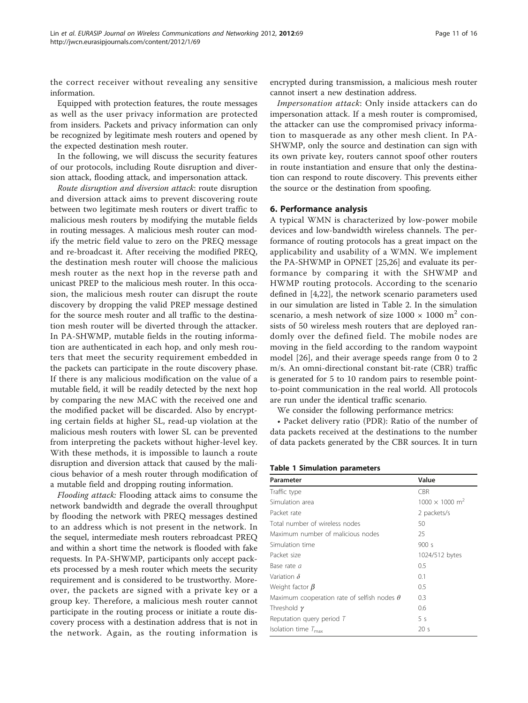the correct receiver without revealing any sensitive information.

Equipped with protection features, the route messages as well as the user privacy information are protected from insiders. Packets and privacy information can only be recognized by legitimate mesh routers and opened by the expected destination mesh router.

In the following, we will discuss the security features of our protocols, including Route disruption and diversion attack, flooding attack, and impersonation attack.

Route disruption and diversion attack: route disruption and diversion attack aims to prevent discovering route between two legitimate mesh routers or divert traffic to malicious mesh routers by modifying the mutable fields in routing messages. A malicious mesh router can modify the metric field value to zero on the PREQ message and re-broadcast it. After receiving the modified PREQ, the destination mesh router will choose the malicious mesh router as the next hop in the reverse path and unicast PREP to the malicious mesh router. In this occasion, the malicious mesh router can disrupt the route discovery by dropping the valid PREP message destined for the source mesh router and all traffic to the destination mesh router will be diverted through the attacker. In PA-SHWMP, mutable fields in the routing information are authenticated in each hop, and only mesh routers that meet the security requirement embedded in the packets can participate in the route discovery phase. If there is any malicious modification on the value of a mutable field, it will be readily detected by the next hop by comparing the new MAC with the received one and the modified packet will be discarded. Also by encrypting certain fields at higher SL, read-up violation at the malicious mesh routers with lower SL can be prevented from interpreting the packets without higher-level key. With these methods, it is impossible to launch a route disruption and diversion attack that caused by the malicious behavior of a mesh router through modification of a mutable field and dropping routing information.

Flooding attack: Flooding attack aims to consume the network bandwidth and degrade the overall throughput by flooding the network with PREQ messages destined to an address which is not present in the network. In the sequel, intermediate mesh routers rebroadcast PREQ and within a short time the network is flooded with fake requests. In PA-SHWMP, participants only accept packets processed by a mesh router which meets the security requirement and is considered to be trustworthy. Moreover, the packets are signed with a private key or a group key. Therefore, a malicious mesh router cannot participate in the routing process or initiate a route discovery process with a destination address that is not in the network. Again, as the routing information is

encrypted during transmission, a malicious mesh router cannot insert a new destination address.

Impersonation attack: Only inside attackers can do impersonation attack. If a mesh router is compromised, the attacker can use the compromised privacy information to masquerade as any other mesh client. In PA-SHWMP, only the source and destination can sign with its own private key, routers cannot spoof other routers in route instantiation and ensure that only the destination can respond to route discovery. This prevents either the source or the destination from spoofing.

#### 6. Performance analysis

A typical WMN is characterized by low-power mobile devices and low-bandwidth wireless channels. The performance of routing protocols has a great impact on the applicability and usability of a WMN. We implement the PA-SHWMP in OPNET [[25,26](#page-15-0)] and evaluate its performance by comparing it with the SHWMP and HWMP routing protocols. According to the scenario defined in [\[4,22](#page-15-0)], the network scenario parameters used in our simulation are listed in Table [2](#page-7-0). In the simulation scenario, a mesh network of size  $1000 \times 1000$  m<sup>2</sup> consists of 50 wireless mesh routers that are deployed randomly over the defined field. The mobile nodes are moving in the field according to the random waypoint model [\[26](#page-15-0)], and their average speeds range from 0 to 2 m/s. An omni-directional constant bit-rate (CBR) traffic is generated for 5 to 10 random pairs to resemble pointto-point communication in the real world. All protocols are run under the identical traffic scenario.

We consider the following performance metrics:

• Packet delivery ratio (PDR): Ratio of the number of data packets received at the destinations to the number of data packets generated by the CBR sources. It in turn

#### Table 1 Simulation parameters

| Parameter                                          | Value                             |
|----------------------------------------------------|-----------------------------------|
| Traffic type                                       | <b>CBR</b>                        |
| Simulation area                                    | $1000 \times 1000$ m <sup>2</sup> |
| Packet rate                                        | 2 packets/s                       |
| Total number of wireless nodes                     | 50                                |
| Maximum number of malicious nodes                  | 25                                |
| Simulation time                                    | 900s                              |
| Packet size                                        | 1024/512 bytes                    |
| Base rate a                                        | 0.5                               |
| Variation $\delta$                                 | 0.1                               |
| Weight factor $\beta$                              | 0.5                               |
| Maximum cooperation rate of selfish nodes $\theta$ | 0.3                               |
| Threshold $\gamma$                                 | 0.6                               |
| Reputation query period $T$                        | 5 <sup>5</sup>                    |
| Isolation time $T_{\text{max}}$                    | 20 <sub>s</sub>                   |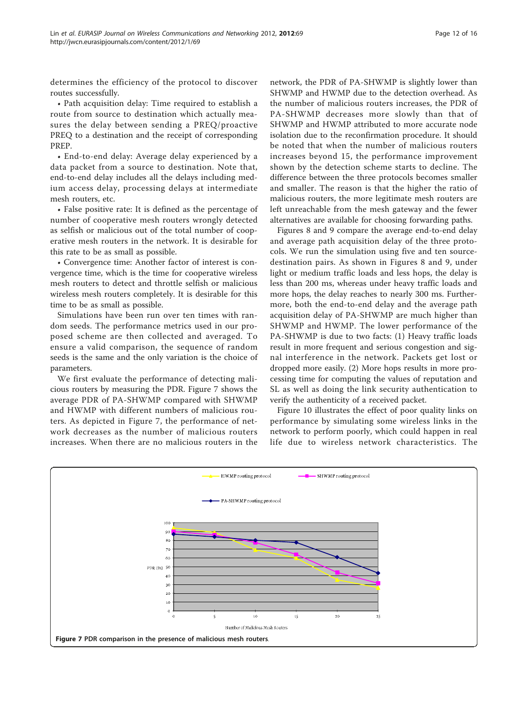determines the efficiency of the protocol to discover routes successfully.

• Path acquisition delay: Time required to establish a route from source to destination which actually measures the delay between sending a PREQ/proactive PREQ to a destination and the receipt of corresponding PREP.

• End-to-end delay: Average delay experienced by a data packet from a source to destination. Note that, end-to-end delay includes all the delays including medium access delay, processing delays at intermediate mesh routers, etc.

• False positive rate: It is defined as the percentage of number of cooperative mesh routers wrongly detected as selfish or malicious out of the total number of cooperative mesh routers in the network. It is desirable for this rate to be as small as possible.

• Convergence time: Another factor of interest is convergence time, which is the time for cooperative wireless mesh routers to detect and throttle selfish or malicious wireless mesh routers completely. It is desirable for this time to be as small as possible.

Simulations have been run over ten times with random seeds. The performance metrics used in our proposed scheme are then collected and averaged. To ensure a valid comparison, the sequence of random seeds is the same and the only variation is the choice of parameters.

We first evaluate the performance of detecting malicious routers by measuring the PDR. Figure 7 shows the average PDR of PA-SHWMP compared with SHWMP and HWMP with different numbers of malicious routers. As depicted in Figure 7, the performance of network decreases as the number of malicious routers increases. When there are no malicious routers in the

network, the PDR of PA-SHWMP is slightly lower than SHWMP and HWMP due to the detection overhead. As the number of malicious routers increases, the PDR of PA-SHWMP decreases more slowly than that of SHWMP and HWMP attributed to more accurate node isolation due to the reconfirmation procedure. It should be noted that when the number of malicious routers increases beyond 15, the performance improvement shown by the detection scheme starts to decline. The difference between the three protocols becomes smaller and smaller. The reason is that the higher the ratio of malicious routers, the more legitimate mesh routers are left unreachable from the mesh gateway and the fewer alternatives are available for choosing forwarding paths.

Figures [8](#page-12-0) and [9](#page-12-0) compare the average end-to-end delay and average path acquisition delay of the three protocols. We run the simulation using five and ten sourcedestination pairs. As shown in Figures [8](#page-12-0) and [9,](#page-12-0) under light or medium traffic loads and less hops, the delay is less than 200 ms, whereas under heavy traffic loads and more hops, the delay reaches to nearly 300 ms. Furthermore, both the end-to-end delay and the average path acquisition delay of PA-SHWMP are much higher than SHWMP and HWMP. The lower performance of the PA-SHWMP is due to two facts: (1) Heavy traffic loads result in more frequent and serious congestion and signal interference in the network. Packets get lost or dropped more easily. (2) More hops results in more processing time for computing the values of reputation and SL as well as doing the link security authentication to verify the authenticity of a received packet.

Figure [10](#page-13-0) illustrates the effect of poor quality links on performance by simulating some wireless links in the network to perform poorly, which could happen in real life due to wireless network characteristics. The

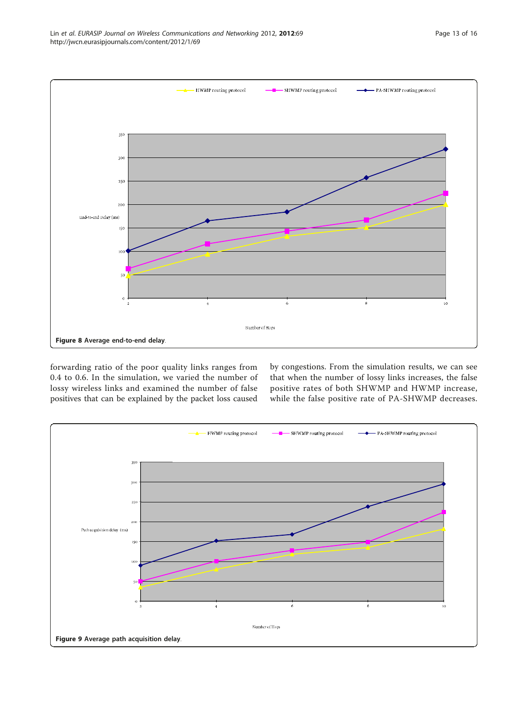<span id="page-12-0"></span>

forwarding ratio of the poor quality links ranges from 0.4 to 0.6. In the simulation, we varied the number of lossy wireless links and examined the number of false positives that can be explained by the packet loss caused by congestions. From the simulation results, we can see that when the number of lossy links increases, the false positive rates of both SHWMP and HWMP increase, while the false positive rate of PA-SHWMP decreases.

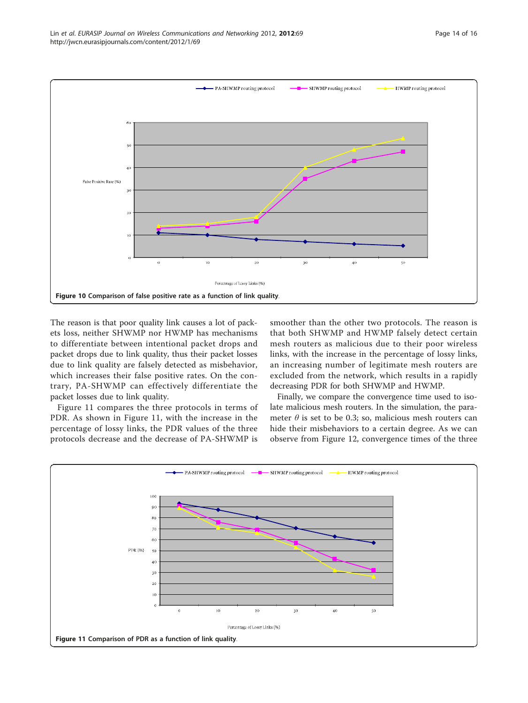<span id="page-13-0"></span>

Figure 10 Comparison of false positive rate as a function of link quality.

The reason is that poor quality link causes a lot of packets loss, neither SHWMP nor HWMP has mechanisms to differentiate between intentional packet drops and packet drops due to link quality, thus their packet losses due to link quality are falsely detected as misbehavior, which increases their false positive rates. On the contrary, PA-SHWMP can effectively differentiate the packet losses due to link quality.

Figure 11 compares the three protocols in terms of PDR. As shown in Figure 11, with the increase in the percentage of lossy links, the PDR values of the three protocols decrease and the decrease of PA-SHWMP is

smoother than the other two protocols. The reason is that both SHWMP and HWMP falsely detect certain mesh routers as malicious due to their poor wireless links, with the increase in the percentage of lossy links, an increasing number of legitimate mesh routers are excluded from the network, which results in a rapidly decreasing PDR for both SHWMP and HWMP.

Finally, we compare the convergence time used to isolate malicious mesh routers. In the simulation, the parameter  $\theta$  is set to be 0.3; so, malicious mesh routers can hide their misbehaviors to a certain degree. As we can observe from Figure [12,](#page-14-0) convergence times of the three

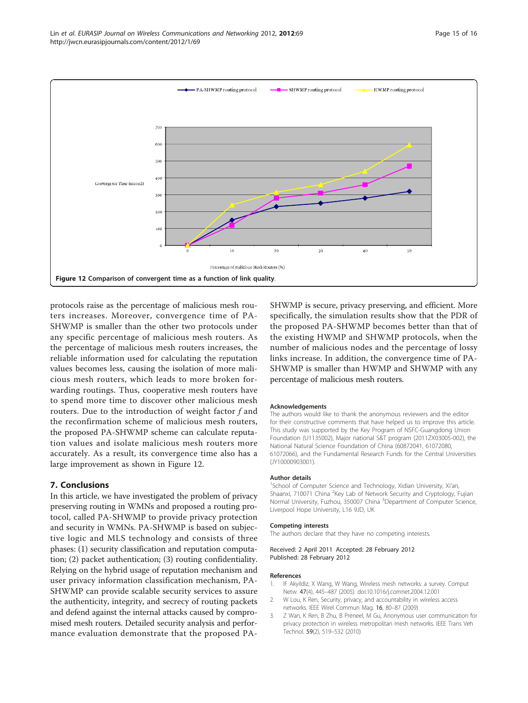<span id="page-14-0"></span>

protocols raise as the percentage of malicious mesh routers increases. Moreover, convergence time of PA-SHWMP is smaller than the other two protocols under any specific percentage of malicious mesh routers. As the percentage of malicious mesh routers increases, the reliable information used for calculating the reputation values becomes less, causing the isolation of more malicious mesh routers, which leads to more broken forwarding routings. Thus, cooperative mesh routers have to spend more time to discover other malicious mesh routers. Due to the introduction of weight factor f and the reconfirmation scheme of malicious mesh routers, the proposed PA-SHWMP scheme can calculate reputation values and isolate malicious mesh routers more accurately. As a result, its convergence time also has a large improvement as shown in Figure 12.

## 7. Conclusions

In this article, we have investigated the problem of privacy preserving routing in WMNs and proposed a routing protocol, called PA-SHWMP to provide privacy protection and security in WMNs. PA-SHWMP is based on subjective logic and MLS technology and consists of three phases: (1) security classification and reputation computation; (2) packet authentication; (3) routing confidentiality. Relying on the hybrid usage of reputation mechanism and user privacy information classification mechanism, PA-SHWMP can provide scalable security services to assure the authenticity, integrity, and secrecy of routing packets and defend against the internal attacks caused by compromised mesh routers. Detailed security analysis and performance evaluation demonstrate that the proposed PA-

SHWMP is secure, privacy preserving, and efficient. More specifically, the simulation results show that the PDR of the proposed PA-SHWMP becomes better than that of the existing HWMP and SHWMP protocols, when the number of malicious nodes and the percentage of lossy links increase. In addition, the convergence time of PA-SHWMP is smaller than HWMP and SHWMP with any percentage of malicious mesh routers.

#### Acknowledgements

The authors would like to thank the anonymous reviewers and the editor for their constructive comments that have helped us to improve this article. This study was supported by the Key Program of NSFC-Guangdong Union Foundation (U1135002), Major national S&T program (2011ZX03005-002), the National Natural Science Foundation of China (60872041, 61072080, 61072066), and the Fundamental Research Funds for the Central Universities (JY10000903001).

#### Author details

<sup>1</sup>School of Computer Science and Technology, Xidian University, Xi'an, Shaanxi, 710071 China <sup>2</sup>Key Lab of Network Security and Cryptology, Fujian Normal University, Fuzhou, 350007 China <sup>3</sup>Department of Computer Science Liverpool Hope University, L16 9JD, UK

#### Competing interests

The authors declare that they have no competing interests.

#### Received: 2 April 2011 Accepted: 28 February 2012 Published: 28 February 2012

#### References

- 1. IF Akyildiz, X Wang, W Wang, Wireless mesh networks: a survey. Comput Netw. 47(4), 445–487 (2005). doi:10.1016/j.comnet.2004.12.001
- 2. W Lou, K Ren, Security, privacy, and accountability in wireless access networks. IEEE Wirel Commun Mag. 16, 80–87 (2009)
- 3. Z Wan, K Ren, B Zhu, B Preneel, M Gu, Anonymous user communication for privacy protection in wireless metropolitan mesh networks. IEEE Trans Veh Technol. 59(2), 519–532 (2010)